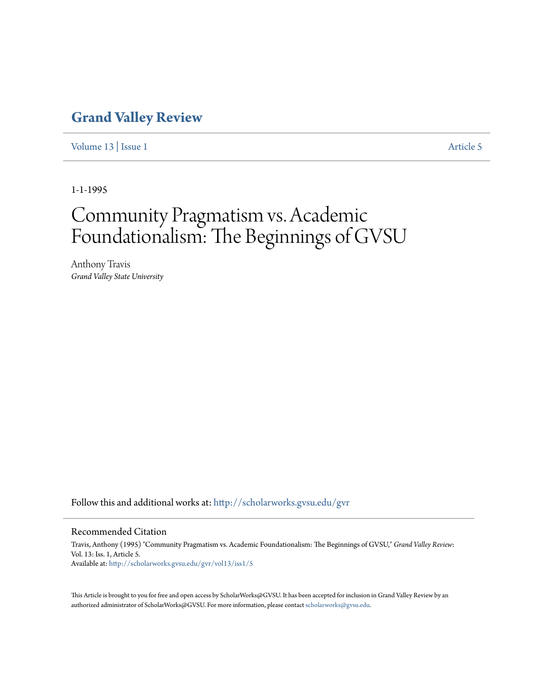# **[Grand Valley Review](http://scholarworks.gvsu.edu/gvr?utm_source=scholarworks.gvsu.edu%2Fgvr%2Fvol13%2Fiss1%2F5&utm_medium=PDF&utm_campaign=PDFCoverPages)**

[Volume 13](http://scholarworks.gvsu.edu/gvr/vol13?utm_source=scholarworks.gvsu.edu%2Fgvr%2Fvol13%2Fiss1%2F5&utm_medium=PDF&utm_campaign=PDFCoverPages) | [Issue 1](http://scholarworks.gvsu.edu/gvr/vol13/iss1?utm_source=scholarworks.gvsu.edu%2Fgvr%2Fvol13%2Fiss1%2F5&utm_medium=PDF&utm_campaign=PDFCoverPages) [Article 5](http://scholarworks.gvsu.edu/gvr/vol13/iss1/5?utm_source=scholarworks.gvsu.edu%2Fgvr%2Fvol13%2Fiss1%2F5&utm_medium=PDF&utm_campaign=PDFCoverPages)

1-1-1995

# Community Pragmatism vs. Academic Foundationalism: The Beginnings of GVSU

Anthony Travis *Grand Valley State University*

Follow this and additional works at: [http://scholarworks.gvsu.edu/gvr](http://scholarworks.gvsu.edu/gvr?utm_source=scholarworks.gvsu.edu%2Fgvr%2Fvol13%2Fiss1%2F5&utm_medium=PDF&utm_campaign=PDFCoverPages)

#### Recommended Citation

Travis, Anthony (1995) "Community Pragmatism vs. Academic Foundationalism: The Beginnings of GVSU," *Grand Valley Review*: Vol. 13: Iss. 1, Article 5. Available at: [http://scholarworks.gvsu.edu/gvr/vol13/iss1/5](http://scholarworks.gvsu.edu/gvr/vol13/iss1/5?utm_source=scholarworks.gvsu.edu%2Fgvr%2Fvol13%2Fiss1%2F5&utm_medium=PDF&utm_campaign=PDFCoverPages)

This Article is brought to you for free and open access by ScholarWorks@GVSU. It has been accepted for inclusion in Grand Valley Review by an authorized administrator of ScholarWorks@GVSU. For more information, please contact [scholarworks@gvsu.edu.](mailto:scholarworks@gvsu.edu)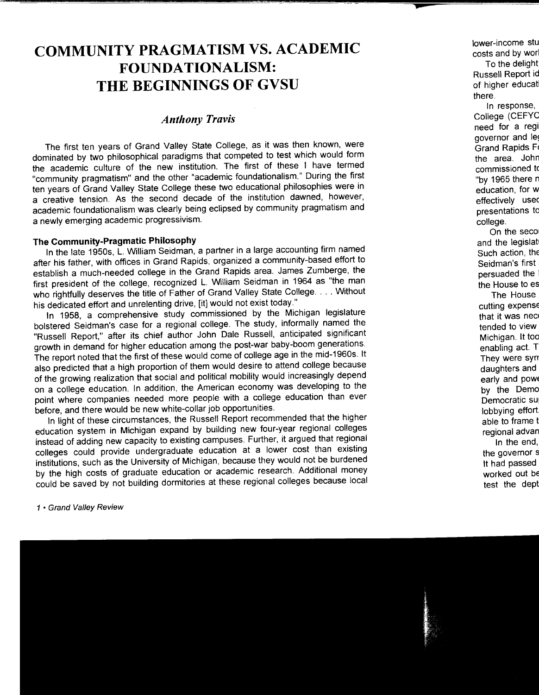# **COMMUNITY PRAGMATISM VS. ACADEMIC FOUNDATIONALISM: THE BEGINNINGS OF GVSU**

# *Anthony Travis*

The first ten years of Grand Valley State College, as it was then known, were dominated by two philosophical paradigms that competed to test which would form the academic culture of the new institution. The first of these I have termed "community pragmatism" and the other "academic foundationalism." During the first ten years of Grand Valley State College these two educational philosophies were in a creative tension. As the second decade of the institution dawned, however, academic foundationalism was clearly being eclipsed by community pragmatism and a newly emerging academic progressivism.

## **The Community-Pragmatic Philosophy**

In the late 1950s, L. William Seidman, a partner in a large accounting firm named after his father, with offices in Grand Rapids, organized a community-based effort to establish a much-needed college in the Grand Rapids area. James Zumberge, the first president of the college, recognized L. William Seidman in 1964 as "the man who rightfully deserves the title of Father of Grand Valley State College .... Without his dedicated effort and unrelenting drive, [it] would not exist today."

In 1958, a comprehensive study commissioned by the Michigan legislature bolstered Seidman's case for a regional college. The study, informally named the "Russell Report," after its chief author John Dale Russell, anticipated significant growth in demand for higher education among the post-war baby-boom generations. The report noted that the first of these would come of college age in the mid-1960s. It also predicted that a high proportion of them would desire to attend college because of the growing realization that social and political mobility would increasingly depend on a college education. In addition, the American economy was developing to the point where companies needed more people with a college education than ever before, and there would be new white-collar job opportunities.

In light of these circumstances, the Russell Report recommended that the higher education system in Michigan expand by building new four-year regional colleges instead of adding new capacity to existing campuses. Further, it argued that regional colleges could provide undergraduate education at a lower cost than existing institutions, such as the University of Michigan, because they would not be burdened by the high costs of graduate education or academic research. Additional money could be saved by not building dormitories at these regional colleges because local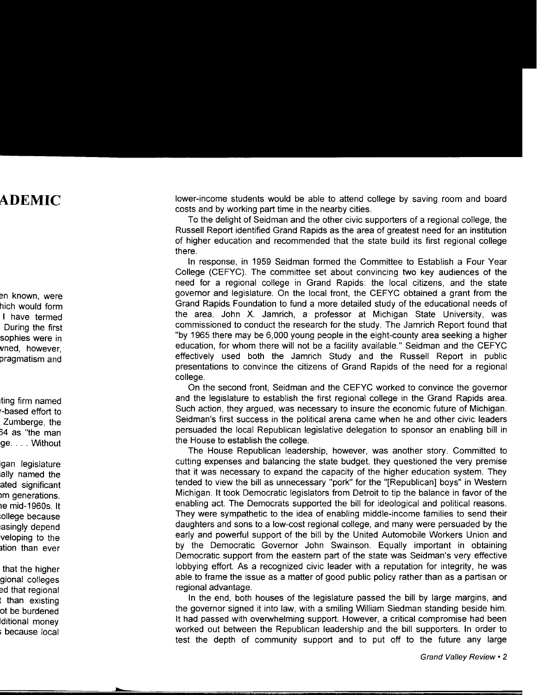lower-income students would be able to attend college by saving room and board costs and by working part time in the nearby cities.

To the delight of Seidman and the other civic supporters of a regional college, the Russell Report identified Grand Rapids as the area of greatest need for an institution of higher education and recommended that the state build its first regional college there.

In response, in 1959 Seidman formed the Committee to Establish a Four Year College (CEFYC). The committee set about convincing two key audiences of the need for a regional college in Grand Rapids: the local citizens, and the state governor and legislature. On the local front, the CEFYC obtained a grant from the Grand Rapids Foundation to fund a more detailed study of the educational needs of the area. John X. Jamrich, a professor at Michigan State University, was commissioned to conduct the research for the study. The Jamrich Report found that "by 1965 there may be 6,000 young people in the eight-county area seeking a higher education, for whom there will not be a facility available." Seidman and the CEFYC effectively used both the Jamrich Study and the Russell Report in public presentations to convince the citizens of Grand Rapids of the need for a regional college.

On the second front, Seidman and the CEFYC worked to convince the governor and the legislature to establish the first regional college in the Grand Rapids area. Such action, they argued, was necessary to insure the economic future of Michigan. Seidman's first success in the political arena came when he and other civic leaders persuaded the local Republican legislative delegation to sponsor an enabling bill in the House to establish the college.

The House Republican leadership, however, was another story. Committed to cutting expenses and balancing the state budget, they questioned the very premise that it was necessary to expand the capacity of the higher education system. They tended to view the bill as unnecessary "pork" for the "[Republican] boys" in Western Michigan. It took Democratic legislators from Detroit to tip the balance in favor of the enabling act. The Democrats supported the bill for ideological and political reasons. They were sympathetic to the idea of enabling middle-income families to send their daughters and sons to a low-cost regional college, and many were persuaded by the early and powerful support of the bill by the United Automobile Workers Union and by the Democratic Governor John Swainson. Equally important in obtaining Democratic support from the eastern part of the state was Seidman's very effective lobbying effort. As a recognized civic leader with a reputation for integrity, he was able to frame the issue as a matter of good public policy rather than as a partisan or regional advantage.

In the end, both houses of the legislature passed the bill by large margins, and the governor signed it into law, with a smiling William Siedman standing beside him. It had passed with overwhelming support. However, a critical compromise had been worked out between the Republican leadership and the bill supporters. In order to test the depth of community support and to put off to the future any large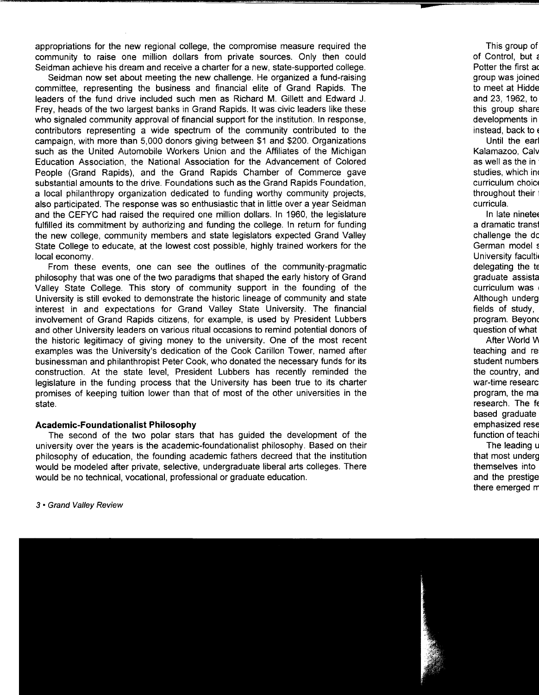appropriations for the new regional college, the compromise measure required the community to raise one million dollars from private sources. Only then could Seidman achieve his dream and receive a charter for a new, state-supported college.

Seidman now set about meeting the new challenge. He organized a fund-raising committee, representing the business and financial elite of Grand Rapids. The leaders of the fund drive included such men as Richard M. Gillett and Edward J. Frey, heads of the two largest banks in Grand Rapids. It was civic leaders like these who signaled community approval of financial support for the institution. In response, contributors representing a wide spectrum of the community contributed to the campaign, with more than 5,000 donors giving between \$1 and \$200. Organizations such as the United Automobile Workers Union and the Affiliates of the Michigan Education Association, the National Association for the Advancement of Colored People (Grand Rapids}, and the Grand Rapids Chamber of Commerce gave substantial amounts to the drive. Foundations such as the Grand Rapids Foundation, a local philanthropy organization dedicated to funding worthy community projects, also participated. The response was so enthusiastic that in little over a year Seidman and the CEFYC had raised the required one million dollars. In 1960, the legislature fulfilled its commitment by authorizing and funding the college. In return for funding the new college, community members and state legislators expected Grand Valley State College to educate, at the lowest cost possible, highly trained workers for the local economy.

From these events, one can see the outlines of the community-pragmatic philosophy that was one of the two paradigms that shaped the early history of Grand Valley State College. This story of community support in the founding of the University is still evoked to demonstrate the historic lineage of community and state interest in and expectations for Grand Valley State University. The financial involvement of Grand Rapids citizens, for example, is used by President Lubbers and other University leaders on various ritual occasions to remind potential donors of the historic legitimacy of giving money to the university. One of the most recent examples was the University's dedication of the Cook Carillon Tower, named after businessman and philanthropist Peter Cook, who donated the necessary funds for its construction. At the state level, President Lubbers has recently reminded the legislature in the funding process that the University has been true to its charter promises of keeping tuition lower than that of most of the other universities in the state.

#### **Academic-Foundationalist Philosophy**

The second of the two polar stars that has guided the development of the university over the years is the academic-foundationalist philosophy. Based on their philosophy of education, the founding academic fathers decreed that the institution would be modeled after private, selective, undergraduate liberal arts colleges. There would be no technical, vocational, professional or graduate education.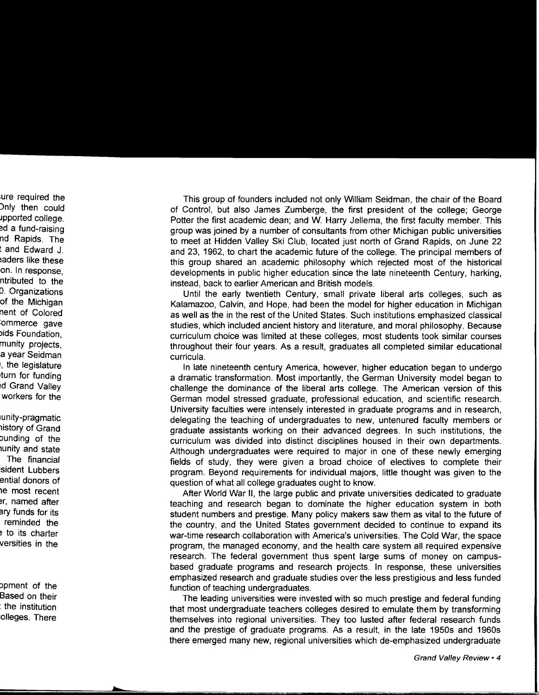This group of founders included not only William Seidman, the chair of the Board of Control, but also James Zumberge, the first president of the college; George Potter the first academic dean; and W. Harry Jellema, the first faculty member. This group was joined by a number of consultants from other Michigan public universities to meet at Hidden Valley Ski Club, located just north of Grand Rapids, on June 22 and 23, 1962, to chart the academic future of the college. The principal members of this group shared an academic philosophy which rejected most of the historical developments in public higher education since the late nineteenth Century, harking, instead, back to earlier American and British models.

Until the early twentieth Century, small private liberal arts colleges, such as Kalamazoo, Calvin, and Hope, had been the model for higher education in Michigan as well as the in the rest of the United States. Such institutions emphasized classical studies, which included ancient history and literature, and moral philosophy. Because curriculum choice was limited at these colleges, most students took similar courses throughout their four years. As a result, graduates all completed similar educational curricula.

In late nineteenth century America, however, higher education began to undergo a dramatic transformation. Most importantly, the German University model began to challenge the dominance of the liberal arts college. The American version of this German model stressed graduate, professional education, and scientific research. University faculties were intensely interested in graduate programs and in research, delegating the teaching of undergraduates to new, untenured faculty members or graduate assistants working on their advanced degrees. In such institutions, the curriculum was divided into distinct disciplines housed in their own departments. Although undergraduates were required to major in one of these newly emerging fields of study, they were given a broad choice of electives to complete their program. Beyond requirements for individual majors, little thought was given to the question of what all college graduates ought to know.

After World War II, the large public and private universities dedicated to graduate teaching and research began to dominate the higher education system in both student numbers and prestige. Many policy makers saw them as vital to the future of the country, and the United States government decided to continue to expand its war-time research collaboration with America's universities. The Cold War, the space program, the managed economy, and the health care system all required expensive research. The federal government thus spent large sums of money on campusbased graduate programs and research projects. In response, these universities emphasized research and graduate studies over the less prestigious and less funded function of teaching undergraduates.

The leading universities were invested with so much prestige and federal funding that most undergraduate teachers colleges desired to emulate them by transforming themselves into regional universities. They too lusted after federal research funds and the prestige of graduate programs. As a result, in the late 1950s and 1960s there emerged many new, regional universities which de-emphasized undergraduate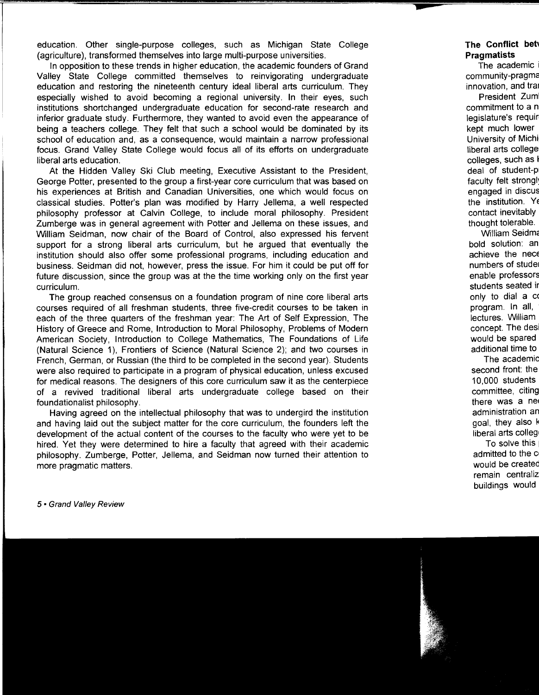education. Other single-purpose colleges, such as Michigan State College (agriculture), transformed themselves into large multi-purpose universities.

In opposition to these trends in higher education, the academic founders of Grand Valley State College committed themselves to reinvigorating undergraduate education and restoring the nineteenth century ideal liberal arts curriculum. They especially wished to avoid becoming a regional university. In their eyes, such institutions shortchanged undergraduate education for second-rate research and inferior graduate study. Furthermore, they wanted to avoid even the appearance of being a teachers college. They felt that such a school would be dominated by its school of education and, as a consequence, would maintain a narrow professional focus. Grand Valley State College would focus all of its efforts on undergraduate liberal arts education.

At the Hidden Valley Ski Club meeting, Executive Assistant to the President, George Potter, presented to the group a first-year core curriculum that was based on his experiences at British and Canadian Universities, one which would focus on classical studies. Potter's plan was modified by Harry Jellema, a well respected philosophy professor at Calvin College, to include moral philosophy. President Zumberge was in general agreement with Potter and Jellema on these issues, and William Seidman, now chair of the Board of Control, also expressed his fervent support for a strong liberal arts curriculum, but he argued that eventually the institution should also offer some professional programs, including education and business. Seidman did not, however, press the issue. For him it could be put off for future discussion, since the group was at the the time working only on the first year curriculum.

The group reached consensus on a foundation program of nine core liberal arts courses required of all freshman students, three five-credit courses to be taken in each of the three quarters of the freshman year: The Art of Self Expression, The History of Greece and Rome, Introduction to Moral Philosophy, Problems of Modern American Society, Introduction to College Mathematics, The Foundations of Life (Natural Science 1), Frontiers of Science (Natural Science 2); and two courses in French, German, or Russian (the third to be completed in the second year). Students were also required to participate in a program of physical education, unless excused for medical reasons. The designers of this core curriculum saw it as the centerpiece of a revived traditional liberal arts undergraduate college based on their foundationalist philosophy.

Having agreed on the intellectual philosophy that was to undergird the institution and having laid out the subject matter for the core curriculum, the founders left the development of the actual content of the courses to the faculty who were yet to be hired. Yet they were determined to hire a faculty that agreed with their academic philosophy. Zumberge, Potter, Jellema, and Seidman now turned their attention to more pragmatic matters.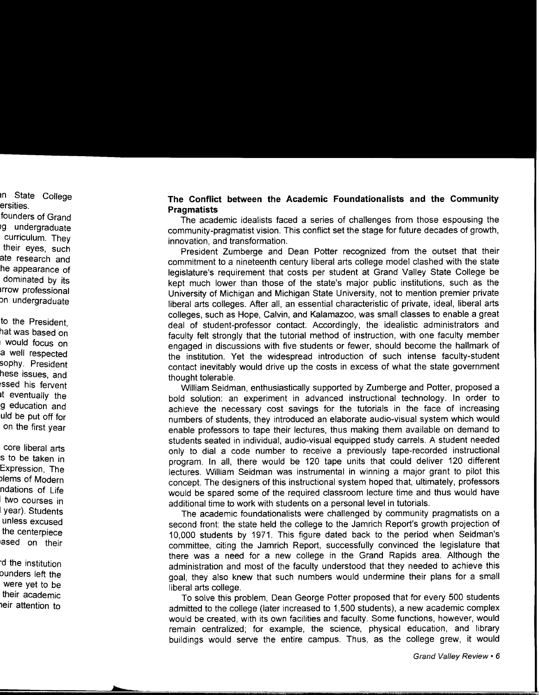### **The Conflict between the Academic Foundationalists and the Community Pragmatists**

The academic idealists faced a series of challenges from those espousing the community-pragmatist vision. This conflict set the stage for future decades of growth, innovation, and transformation.

President Zumberge and Dean Potter recognized from the outset that their commitment to a nineteenth century liberal arts college model clashed with the state legislature's requirement that costs per student at Grand Valley State College be kept much lower than those of the state's major public institutions, such as the University of Michigan and Michigan State University, not to mention premier private liberal arts colleges. After all, an essential characteristic of private, ideal, liberal arts colleges, such as Hope, Calvin, and Kalamazoo, was small classes to enable a great deal of student-professor contact. Accordingly, the idealistic administrators and faculty felt strongly that the tutorial method of instruction, with one faculty member engaged in discussions with five students or fewer, should become the hallmark of the institution. Yet the widespread introduction of such intense faculty-student contact inevitably would drive up the costs in excess of what the state government thought tolerable.

William Seidman, enthusiastically supported by Zumberge and Potter, proposed a bold solution: an experiment in advanced instructional technology. In order to achieve the necessary cost savings for the tutorials in the face of increasing numbers of students, they introduced an elaborate audio-visual system which would enable professors to tape their lectures, thus making them available on demand to students seated in individual, audio-visual equipped study carrels. A student needed only to dial a code number to receive a previously tape-recorded instructional program. In all, there would be 120 tape units that could deliver 120 different lectures. William Seidman was instrumental in winning a major grant to pilot this concept. The designers of this instructional system hoped that, ultimately, professors would be spared some of the required classroom lecture time and thus would have additional time to work with students on a personal level in tutorials.

The academic foundationalists were challenged by community pragmatists on a second front: the state held the college to the Jamrich Report's growth projection of 10,000 students by 1971. This figure dated back to the period when Seidman's committee, citing the Jamrich Report, successfully convinced the legislature that there was a need for a new college in the Grand Rapids area. Although the administration and most of the faculty understood that they needed to achieve this goal, they also knew that such numbers would undermine their plans for a small liberal arts college.

To solve this problem, Dean George Potter proposed that for every 500 students admitted to the college (later increased to 1,500 students), a new academic complex would be created, with its own facilities and faculty. Some functions, however, would remain centralized; for example, the science, physical education, and library buildings would serve the entire campus. Thus, as the college grew, it would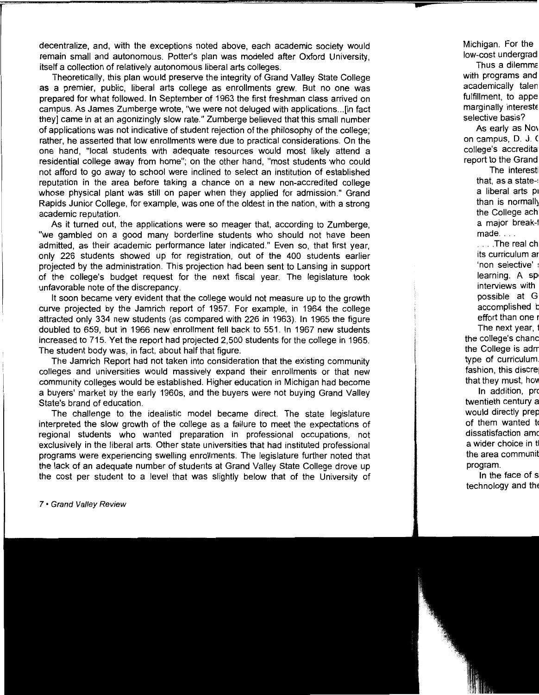decentralize, and, with the exceptions noted above, each academic society would remain small and autonomous. Potter's plan was modeled after Oxford University, itself a collection of relatively autonomous liberal arts colleges.

Theoretically, this plan would preserve the integrity of Grand Valley State College as a premier, public, liberal arts college as enrollments grew. But no one was prepared for what followed. In September of 1963 the first freshman class arrived on campus. As James Zumberge wrote, "we were not deluged with applications ... [in fact they] came in at an agonizingly slow rate." Zumberge believed that this small number of applications was not indicative of student rejection of the philosophy of the college; rather, he asserted that low enrollments were due to practical considerations. On the one hand, "local students with adequate resources would most likely attend a residential college away from home"; on the other hand, "most students who could not afford to go away to school were inclined to select an institution of established reputation in the area before taking a chance on a new non-accredited college whose physical plant was still on paper when they applied for admission." Grand Rapids Junior College, for example, was one of the oldest in the nation, with a strong academic reputation.

As it turned out, the applications were so meager that, according to Zumberge, "we gambled on a good many borderline students who should not have been admitted, as their academic performance later indicated." Even so, that first year, only 226 students showed up for registration, out of the 400 students earlier projected by the administration. This projection had been sent to Lansing in support of the college's budget request for the next fiscal year. The legislature took unfavorable note of the discrepancy.

It soon became very evident that the college would not measure up to the growth curve projected by the Jamrich report of 1957. For example, in 1964 the college attracted only 334 new students (as compared with 226 in 1963). In 1965 the figure doubled to 659, but in 1966 new enrollment fell back to 551. In 1967 new students increased to 715. Yet the report had projected 2,500 students for the college in 1965. The student body was, in fact, about half that figure.

The Jamrich Report had not taken into consideration that the existing community colleges and universities would massively expand their enrollments or that new community colleges would be established. Higher education in Michigan had become a buyers' market by the early 1960s, and the buyers were not buying Grand Valley State's brand of education.

The challenge to the idealistic model became direct. The state legislature interpreted the slow growth of the college as a failure to meet the expectations of regional students who wanted preparation in professional occupations, not exclusively in the liberal arts. Other state universities that had instituted professional programs were experiencing swelling enrollments. The legislature further noted that the lack of an adequate number of students at Grand Valley State College drove up the cost per student to a level that was slightly below that of the University of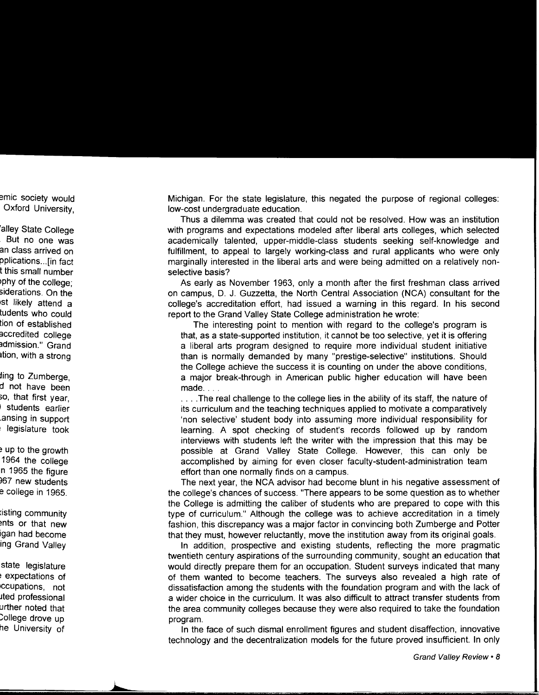Michigan. For the state legislature, this negated the purpose of regional colleges: low-cost undergraduate education.

Thus a dilemma was created that could not be resolved. How was an institution with programs and expectations modeled after liberal arts colleges, which selected academically talented, upper-middle-class students seeking self-knowledge and fulfillment, to appeal to largely working-class and rural applicants who were only marginally interested in the liberal arts and were being admitted on a relatively nonselective basis?

As early as November 1963, only a month after the first freshman class arrived on campus, D. J. Guzzetta, the North Central Association (NCA) consultant for the college's accreditation effort, had issued a warning in this regard. In his second report to the Grand Valley State College administration he wrote:

The interesting point to mention with regard to the college's program is that, as a state-supported institution, it cannot be too selective, yet it is offering a liberal arts program designed to require more individual student initiative than is normally demanded by many "prestige-selective" institutions. Should the College achieve the success it is counting on under the above conditions, a major break-through in American public higher education will have been made ....

.... The real challenge to the college lies in the ability of its staff, the nature of its curriculum and the teaching techniques applied to motivate a comparatively 'non selective' student body into assuming more individual responsibility for learning. A spot checking of student's records followed up by random interviews with students left the writer with the impression that this may be possible at Grand Valley State College. However, this can only be accomplished by aiming for even closer faculty-student-administration team effort than one normally finds on a campus.

The next year, the NCA advisor had become blunt in his negative assessment of the college's chances of success. "There appears to be some question as to whether the College is admitting the caliber of students who are prepared to cope with this type of curriculum." Although the college was to achieve accreditation in a timely fashion, this discrepancy was a major factor in convincing both Zumberge and Potter that they must, however reluctantly, move the institution away from its original goals.

In addition, prospective and existing students, reflecting the more pragmatic twentieth century aspirations of the surrounding community, sought an education that would directly prepare them for an occupation. Student surveys indicated that many of them wanted to become teachers. The surveys also revealed a high rate of dissatisfaction among the students with the foundation program and with the lack of a wider choice in the curriculum. It was also difficult to attract transfer students from the area community colleges because they were also required to take the foundation program.

In the face of such dismal enrollment figures and student disaffection, innovative technology and the decentralization models for the future proved insufficient. In only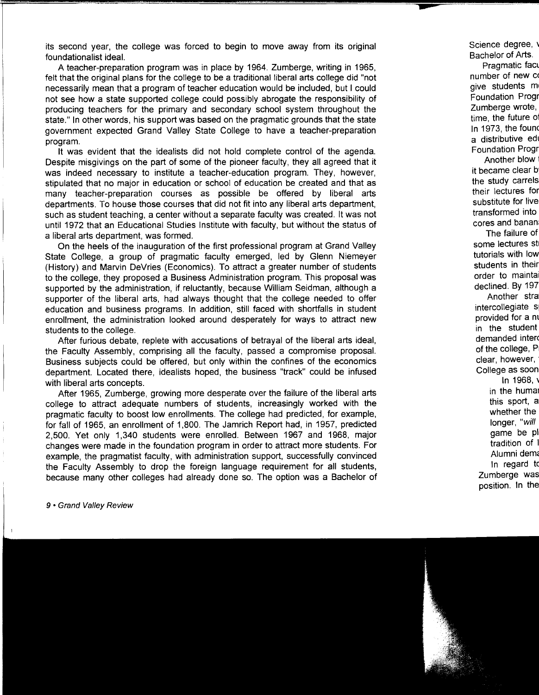its second year, the college was forced to begin to move away from its original foundationalist ideal.

A teacher-preparation program was in place by 1964. Zumberge, writing in 1965, felt that the original plans for the college to be a traditional liberal arts college did "not necessarily mean that a program of teacher education would be included, but I could not see how a state supported college could possibly abrogate the responsibility of producing teachers for the primary and secondary school system throughout the state." In other words, his support was based on the pragmatic grounds that the state government expected Grand Valley State College to have a teacher-preparation program.

It was evident that the idealists did not hold complete control of the agenda. Despite misgivings on the part of some of the pioneer faculty, they all agreed that it was indeed necessary to institute a teacher-education program. They, however, stipulated that no major in education or school of education be created and that as many teacher-preparation courses as possible be offered by liberal arts departments. To house those courses that did not fit into any liberal arts department, such as student teaching, a center without a separate faculty was created. It was not until 1972 that an Educational Studies Institute with faculty, but without the status of a liberal arts department, was formed.

On the heels of the inauguration of the first professional program at Grand Valley State College, a group of pragmatic faculty emerged, led by Glenn Niemeyer (History) and Marvin DeVries (Economics). To attract a greater number of students to the college, they proposed a Business Administration program. This proposal was supported by the administration, if reluctantly, because William Seidman, although a supporter of the liberal arts, had always thought that the college needed to offer education and business programs. In addition, still faced with shortfalls in student enrollment, the administration looked around desperately for ways to attract new students to the college.

After furious debate, replete with accusations of betrayal of the liberal arts ideal, the Faculty Assembly, comprising all the faculty, passed a compromise proposal. Business subjects could be offered, but only within the confines of the economics department. Located there, idealists hoped, the business "track" could be infused with liberal arts concepts.

After 1965, Zumberge, growing more desperate over the failure of the liberal arts college to attract adequate numbers of students, increasingly worked with the pragmatic faculty to boost low enrollments. The college had predicted, for example, for fall of 1965, an enrollment of 1,800. The Jamrich Report had, in 1957, predicted 2,500. Yet only 1,340 students were enrolled. Between 1967 and 1968, major changes were made in the foundation program in order to attract more students. For example, the pragmatist faculty, with administration support, successfully convinced the Faculty Assembly to drop the foreign language requirement for all students, because many other colleges had already done so. The option was a Bachelor of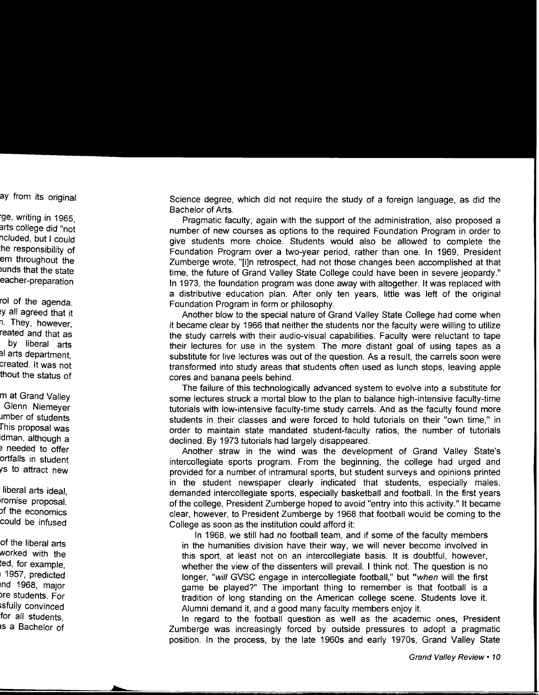Science degree, which did not require the study of a foreign language, as did the Bachelor of Arts.

Pragmatic faculty, again with the support of the administration, also proposed a number of new courses as options to the required Foundation Program in order to give students more choice. Students would also be allowed to complete the Foundation Program over a two-year period, rather than one. In 1969, President Zumberge wrote, "[i]n retrospect, had not those changes been accomplished at that time, the future of Grand Valley State College could have been in severe jeopardy." In 1973, the foundation program was done away with altogether. It was replaced with a distributive education plan. After only ten years, little was left of the original Foundation Program in form or philosophy.

Another blow to the special nature of Grand Valley State College had come when it became clear by 1966 that neither the students nor the faculty were willing to utilize the study carrels with their audio-visual capabilities. Faculty were reluctant to tape their lectures for use in the system. The more distant goal of using tapes as a substitute for live lectures was out of the question. As a result, the carrels soon were transformed into study areas that students often used as lunch stops, leaving apple cores and banana peels behind.

The failure of this technologically advanced system to evolve into a substitute for some lectures struck a mortal blow to the plan to balance high-intensive faculty-time tutorials with low-intensive faculty-time study carrels. And as the faculty found more students in their classes and were forced to hold tutorials on their "own time," in order to maintain state mandated student-faculty ratios, the number of tutorials declined. By 1973 tutorials had largely disappeared.

Another straw in the wind was the development of Grand Valley State's intercollegiate sports program. From the beginning, the college had urged and provided for a number of intramural sports, but student surveys and opinions printed in the student newspaper clearly indicated that students, especially males, demanded intercollegiate sports, especially basketball and football. In the first years of the college, President Zumberge hoped to avoid "entry into this activity." It became clear, however, to President Zumberge by 1968 that football would be coming to the College as soon as the institution could afford it:

In 1968, we still had no football team, and if some of the faculty members in the humanities division have their way, we will never become involved in this sport, at least not on an intercollegiate basis. It is doubtful, however, whether the view of the dissenters will prevail. I think not. The question is no longer, "will GVSC engage in intercollegiate football," but "when will the first game be played?" The important thing to remember is that football is a tradition of long standing on the American college scene. Students love it. Alumni demand it, and a good many faculty members enjoy it.

In regard to the football question as well as the academic ones, President Zumberge was increasingly forced by outside pressures to adopt a pragmatic position. In the process, by the late 1960s and early 1970s, Grand Valley State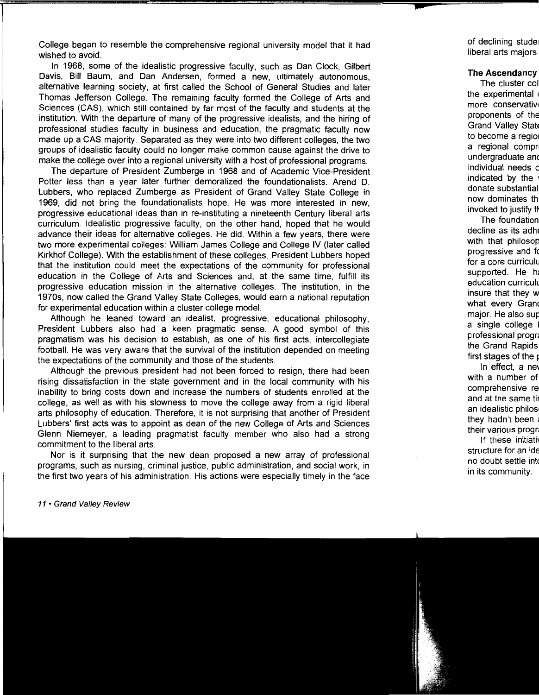College began to resemble the comprehensive regional university model that it had wished to avoid.

In 1968, some of the idealistic progressive faculty, such as Dan Clock, Gilbert Davis, Bill Baum, and Dan Andersen, formed a new, ultimately autonomous, alternative learning society, at first called the School of General Studies and later Thomas Jefferson College. The remaining faculty formed the College of Arts and Sciences (CAS), which still contained by far most of the faculty and students at the institution. With the departure of many of the progressive idealists, and the hiring of professional studies faculty in business and education, the pragmatic faculty now made up a CAS majority. Separated as they were into two different colleges, the two groups of idealistic faculty could no longer make common cause against the drive to make the college over into a regional university with a host of professional programs.

The departure of President Zumberge in 1968 and of Academic Vice-President Potter less than a year later further demoralized the foundationalists. Arend D. Lubbers, who replaced Zumberge as President of Grand Valley State College in 1969, did not bring the foundationalists hope. He was more interested in new, progressive educational ideas than in re-instituting a nineteenth Century liberal arts curriculum. Idealistic progressive faculty, on the other hand, hoped that he would advance their ideas for alternative colleges. He did. Within a few years, there were two more experimental colleges: William James College and College IV (later called Kirkhof College). With the establishment of these colleges, President Lubbers hoped that the institution could meet the expectations of the community for professional education in the College of Arts and Sciences and, at the same time, fulfill its progressive education mission in the alternative colleges. The institution, in the 1970s, now called the Grand Valley State Colleges, would earn a national reputation for experimental education within a cluster college model.

Although he leaned toward an idealist, progressive, educational philosophy, President Lubbers also had a keen pragmatic sense. A good symbol of this pragmatism was his decision to establish, as one of his first acts, intercollegiate football. He was very aware that the survival of the institution depended on meeting the expectations of the community and those of the students.

Although the previous president had not been forced to resign, there had been rising dissatisfaction in the state government and in the local community with his inability to bring costs down and increase the numbers of students enrolled at the college, as well as with his slowness to move the college away from a rigid liberal arts philosophy of education. Therefore, it is not surprising that another of President Lubbers' first acts was to appoint as dean of the new College of Arts and Sciences Glenn Niemeyer, a leading pragmatist faculty member who also had a strong commitment to the liberal arts.

Nor is it surprising that the new dean proposed a new array of professional programs, such as nursing, criminal justice, public administration, and social work, in the first two years of his administration. His actions were especially timely in the face